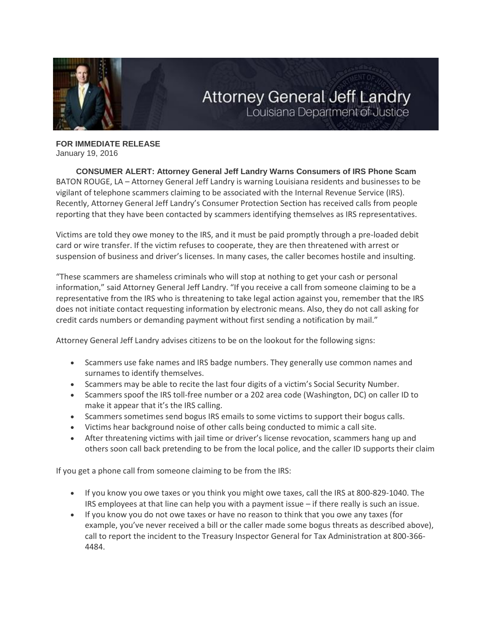

## **Attorney General Jeff Landry** Louisiana Department of Justice

**FOR IMMEDIATE RELEASE** January 19, 2016

**CONSUMER ALERT: Attorney General Jeff Landry Warns Consumers of IRS Phone Scam** BATON ROUGE, LA – Attorney General Jeff Landry is warning Louisiana residents and businesses to be vigilant of telephone scammers claiming to be associated with the Internal Revenue Service (IRS). Recently, Attorney General Jeff Landry's Consumer Protection Section has received calls from people reporting that they have been contacted by scammers identifying themselves as IRS representatives.

Victims are told they owe money to the IRS, and it must be paid promptly through a pre-loaded debit card or wire transfer. If the victim refuses to cooperate, they are then threatened with arrest or suspension of business and driver's licenses. In many cases, the caller becomes hostile and insulting.

"These scammers are shameless criminals who will stop at nothing to get your cash or personal information," said Attorney General Jeff Landry. "If you receive a call from someone claiming to be a representative from the IRS who is threatening to take legal action against you, remember that the IRS does not initiate contact requesting information by electronic means. Also, they do not call asking for credit cards numbers or demanding payment without first sending a notification by mail."

Attorney General Jeff Landry advises citizens to be on the lookout for the following signs:

- Scammers use fake names and IRS badge numbers. They generally use common names and surnames to identify themselves.
- Scammers may be able to recite the last four digits of a victim's Social Security Number.
- Scammers spoof the IRS toll-free number or a 202 area code (Washington, DC) on caller ID to make it appear that it's the IRS calling.
- Scammers sometimes send bogus IRS emails to some victims to support their bogus calls.
- Victims hear background noise of other calls being conducted to mimic a call site.
- After threatening victims with jail time or driver's license revocation, scammers hang up and others soon call back pretending to be from the local police, and the caller ID supports their claim

If you get a phone call from someone claiming to be from the IRS:

- If you know you owe taxes or you think you might owe taxes, call the IRS at 800-829-1040. The IRS employees at that line can help you with a payment issue – if there really is such an issue.
- If you know you do not owe taxes or have no reason to think that you owe any taxes (for example, you've never received a bill or the caller made some bogus threats as described above), call to report the incident to the Treasury Inspector General for Tax Administration at 800-366- 4484.